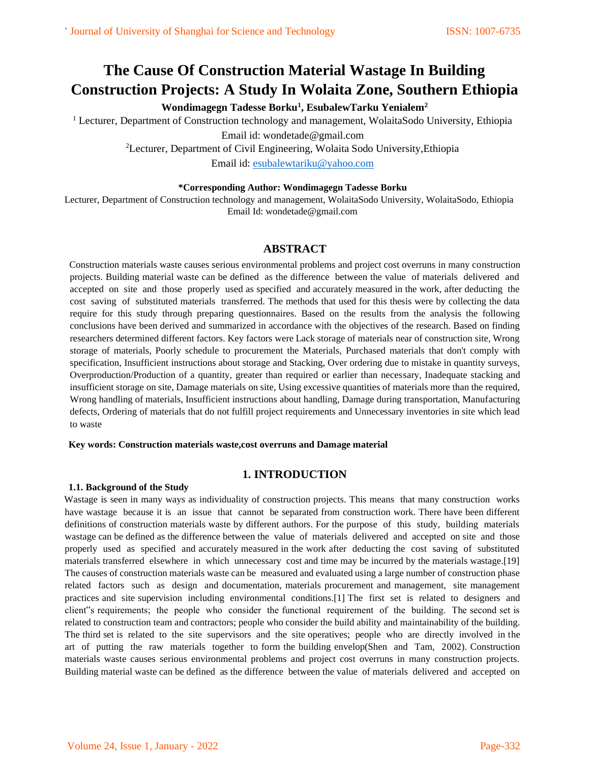# **The Cause Of Construction Material Wastage In Building Construction Projects: A Study In Wolaita Zone, Southern Ethiopia**

**Wondimagegn Tadesse Borku<sup>1</sup> , EsubalewTarku Yenialem<sup>2</sup>**

<sup>1</sup> Lecturer, Department of Construction technology and management, WolaitaSodo University, Ethiopia

Email id: wondetade@gmail.com

<sup>2</sup>Lecturer, Department of Civil Engineering, Wolaita Sodo University,Ethiopia Email id: [esubalewtariku@yahoo.com](mailto:esubalewtariku@yahoo.com)

## **\*Corresponding Author: Wondimagegn Tadesse Borku**

Lecturer, Department of Construction technology and management, WolaitaSodo University, WolaitaSodo, Ethiopia Email Id: wondetade@gmail.com

# **ABSTRACT**

Construction materials waste causes serious environmental problems and project cost overruns in many construction projects. Building material waste can be defined as the difference between the value of materials delivered and accepted on site and those properly used as specified and accurately measured in the work, after deducting the cost saving of substituted materials transferred. The methods that used for this thesis were by collecting the data require for this study through preparing questionnaires. Based on the results from the analysis the following conclusions have been derived and summarized in accordance with the objectives of the research. Based on finding researchers determined different factors. Key factors were Lack storage of materials near of construction site, Wrong storage of materials, Poorly schedule to procurement the Materials, Purchased materials that don't comply with specification, Insufficient instructions about storage and Stacking, Over ordering due to mistake in quantity surveys, Overproduction/Production of a quantity, greater than required or earlier than necessary, Inadequate stacking and insufficient storage on site, Damage materials on site, Using excessive quantities of materials more than the required, Wrong handling of materials, Insufficient instructions about handling, Damage during transportation, Manufacturing defects, Ordering of materials that do not fulfill project requirements and Unnecessary inventories in site which lead to waste

## **Key words: Construction materials waste,cost overruns and Damage material**

# **1. INTRODUCTION**

#### **1.1. Background of the Study**

Wastage is seen in many ways as individuality of construction projects. This means that many construction works have wastage because it is an issue that cannot be separated from construction work. There have been different definitions of construction materials waste by different authors. For the purpose of this study, building materials wastage can be defined as the difference between the value of materials delivered and accepted on site and those properly used as specified and accurately measured in the work after deducting the cost saving of substituted materials transferred elsewhere in which unnecessary cost and time may be incurred by the materials wastage.[19] The causes of construction materials waste can be measured and evaluated using a large number of construction phase related factors such as design and documentation, materials procurement and management, site management practices and site supervision including environmental conditions.[1] The first set is related to designers and client"s requirements; the people who consider the functional requirement of the building. The second set is related to construction team and contractors; people who consider the build ability and maintainability of the building. The third set is related to the site supervisors and the site operatives; people who are directly involved in the art of putting the raw materials together to form the building envelop(Shen and Tam, 2002). Construction materials waste causes serious environmental problems and project cost overruns in many construction projects. Building material waste can be defined as the difference between the value of materials delivered and accepted on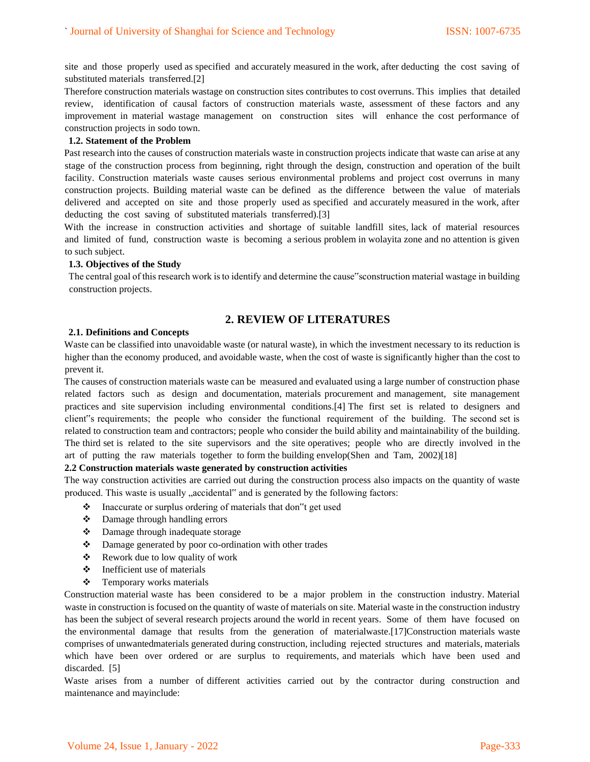site and those properly used as specified and accurately measured in the work, after deducting the cost saving of substituted materials transferred.[2]

Therefore construction materials wastage on construction sites contributes to cost overruns. This implies that detailed review, identification of causal factors of construction materials waste, assessment of these factors and any improvement in material wastage management on construction sites will enhance the cost performance of construction projects in sodo town.

#### **1.2. Statement of the Problem**

Past research into the causes of construction materials waste in construction projects indicate that waste can arise at any stage of the construction process from beginning, right through the design, construction and operation of the built facility. Construction materials waste causes serious environmental problems and project cost overruns in many construction projects. Building material waste can be defined as the difference between the value of materials delivered and accepted on site and those properly used as specified and accurately measured in the work, after deducting the cost saving of substituted materials transferred).[3]

With the increase in construction activities and shortage of suitable landfill sites, lack of material resources and limited of fund, construction waste is becoming a serious problem in wolayita zone and no attention is given to such subject.

#### **1.3. Objectives of the Study**

The central goal of this research work is to identify and determine the cause"sconstruction material wastage in building construction projects.

# **2. REVIEW OF LITERATURES**

#### **2.1. Definitions and Concepts**

Waste can be classified into unavoidable waste (or natural waste), in which the investment necessary to its reduction is higher than the economy produced, and avoidable waste, when the cost of waste is significantly higher than the cost to prevent it.

The causes of construction materials waste can be measured and evaluated using a large number of construction phase related factors such as design and documentation, materials procurement and management, site management practices and site supervision including environmental conditions.[4] The first set is related to designers and client"s requirements; the people who consider the functional requirement of the building. The second set is related to construction team and contractors; people who consider the build ability and maintainability of the building. The third set is related to the site supervisors and the site operatives; people who are directly involved in the art of putting the raw materials together to form the building envelop(Shen and Tam, 2002)[18]

#### **2.2 Construction materials waste generated by construction activities**

The way construction activities are carried out during the construction process also impacts on the quantity of waste produced. This waste is usually "accidental" and is generated by the following factors:

- ❖ Inaccurate or surplus ordering of materials that don"t get used
- ❖ Damage through handling errors
- ❖ Damage through inadequate storage
- ❖ Damage generated by poor co-ordination with other trades
- ❖ Rework due to low quality of work
- ❖ Inefficient use of materials
- ❖ Temporary works materials

Construction material waste has been considered to be a major problem in the construction industry. Material waste in construction is focused on the quantity of waste of materials on site. Material waste in the construction industry has been the subject of several research projects around the world in recent years. Some of them have focused on the environmental damage that results from the generation of materialwaste.[17]Construction materials waste comprises of unwantedmaterials generated during construction, including rejected structures and materials, materials which have been over ordered or are surplus to requirements, and materials which have been used and discarded. [5]

Waste arises from a number of different activities carried out by the contractor during construction and maintenance and mayinclude: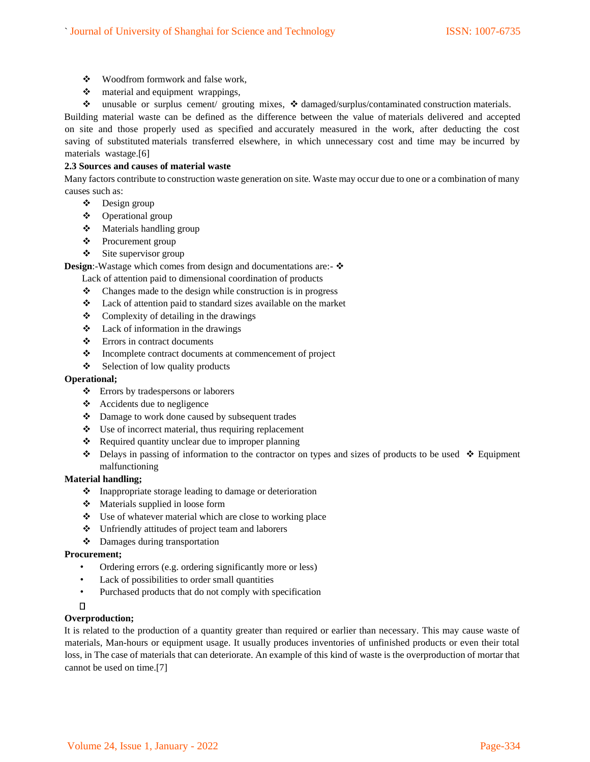- ❖ Woodfrom formwork and false work,
- ❖ material and equipment wrappings,
- ❖ unusable or surplus cement/ grouting mixes, ❖ damaged/surplus/contaminated construction materials.

Building material waste can be defined as the difference between the value of materials delivered and accepted on site and those properly used as specified and accurately measured in the work, after deducting the cost saving of substituted materials transferred elsewhere, in which unnecessary cost and time may be incurred by materials wastage.[6]

# **2.3 Sources and causes of material waste**

Many factors contribute to construction waste generation on site. Waste may occur due to one or a combination of many causes such as:

- ❖ Design group
- ❖ Operational group
- ❖ Materials handling group
- ❖ Procurement group
- ❖ Site supervisor group

**Design:-Wastage which comes from design and documentations are:- ❖** 

Lack of attention paid to dimensional coordination of products

- ❖ Changes made to the design while construction is in progress
- ❖ Lack of attention paid to standard sizes available on the market
- ❖ Complexity of detailing in the drawings
- ❖ Lack of information in the drawings
- ❖ Errors in contract documents
- ❖ Incomplete contract documents at commencement of project
- ❖ Selection of low quality products

#### **Operational;**

- ❖ Errors by tradespersons or laborers
- ❖ Accidents due to negligence
- ❖ Damage to work done caused by subsequent trades
- ❖ Use of incorrect material, thus requiring replacement
- ❖ Required quantity unclear due to improper planning
- ❖ Delays in passing of information to the contractor on types and sizes of products to be used ❖ Equipment malfunctioning

#### **Material handling;**

- ❖ Inappropriate storage leading to damage or deterioration
- ❖ Materials supplied in loose form
- ❖ Use of whatever material which are close to working place
- ❖ Unfriendly attitudes of project team and laborers
- ❖ Damages during transportation

#### **Procurement;**

- Ordering errors (e.g. ordering significantly more or less)
- Lack of possibilities to order small quantities
- Purchased products that do not comply with specification
- n.

# **Overproduction;**

It is related to the production of a quantity greater than required or earlier than necessary. This may cause waste of materials, Man-hours or equipment usage. It usually produces inventories of unfinished products or even their total loss, in The case of materials that can deteriorate. An example of this kind of waste is the overproduction of mortar that cannot be used on time.[7]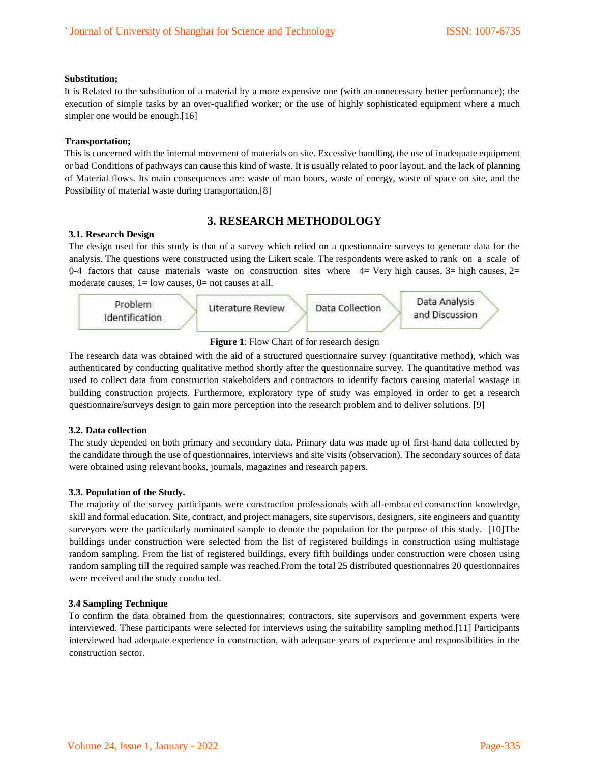#### **Substitution;**

It is Related to the substitution of a material by a more expensive one (with an unnecessary better performance); the execution of simple tasks by an over-qualified worker; or the use of highly sophisticated equipment where a much simpler one would be enough.[16]

## **Transportation;**

This is concerned with the internal movement of materials on site. Excessive handling, the use of inadequate equipment or bad Conditions of pathways can cause this kind of waste. It is usually related to poor layout, and the lack of planning of Material flows. Its main consequences are: waste of man hours, waste of energy, waste of space on site, and the Possibility of material waste during transportation.[8]

# **3. RESEARCH METHODOLOGY**

## **3.1. Research Design**

The design used for this study is that of a survey which relied on a questionnaire surveys to generate data for the analysis. The questions were constructed using the Likert scale. The respondents were asked to rank on a scale of 0-4 factors that cause materials waste on construction sites where  $4=$  Very high causes,  $3=$  high causes,  $2=$ moderate causes,  $1 =$  low causes,  $0 =$  not causes at all.



# **Figure 1**: Flow Chart of for research design

The research data was obtained with the aid of a structured questionnaire survey (quantitative method), which was authenticated by conducting qualitative method shortly after the questionnaire survey. The quantitative method was used to collect data from construction stakeholders and contractors to identify factors causing material wastage in building construction projects. Furthermore, exploratory type of study was employed in order to get a research questionnaire/surveys design to gain more perception into the research problem and to deliver solutions. [9]

# **3.2. Data collection**

The study depended on both primary and secondary data. Primary data was made up of first-hand data collected by the candidate through the use of questionnaires, interviews and site visits (observation). The secondary sources of data were obtained using relevant books, journals, magazines and research papers.

# **3.3. Population of the Study.**

The majority of the survey participants were construction professionals with all-embraced construction knowledge, skill and formal education. Site, contract, and project managers, site supervisors, designers, site engineers and quantity surveyors were the particularly nominated sample to denote the population for the purpose of this study. [10]The buildings under construction were selected from the list of registered buildings in construction using multistage random sampling. From the list of registered buildings, every fifth buildings under construction were chosen using random sampling till the required sample was reached.From the total 25 distributed questionnaires 20 questionnaires were received and the study conducted.

# **3.4 Sampling Technique**

To confirm the data obtained from the questionnaires; contractors, site supervisors and government experts were interviewed. These participants were selected for interviews using the suitability sampling method.[11] Participants interviewed had adequate experience in construction, with adequate years of experience and responsibilities in the construction sector.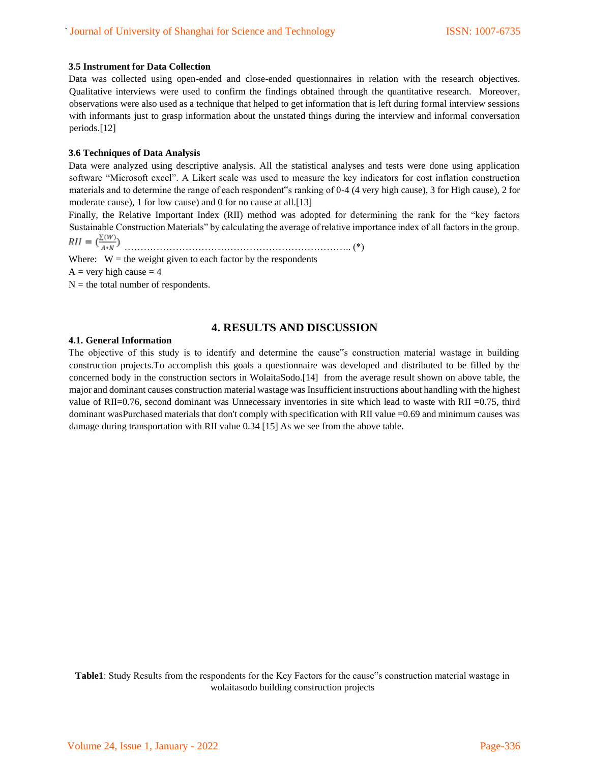#### **3.5 Instrument for Data Collection**

Data was collected using open-ended and close-ended questionnaires in relation with the research objectives. Qualitative interviews were used to confirm the findings obtained through the quantitative research. Moreover, observations were also used as a technique that helped to get information that is left during formal interview sessions with informants just to grasp information about the unstated things during the interview and informal conversation periods.[12]

## **3.6 Techniques of Data Analysis**

Data were analyzed using descriptive analysis. All the statistical analyses and tests were done using application software "Microsoft excel". A Likert scale was used to measure the key indicators for cost inflation construction materials and to determine the range of each respondent"s ranking of 0-4 (4 very high cause), 3 for High cause), 2 for moderate cause), 1 for low cause) and 0 for no cause at all.[13]

Finally, the Relative Important Index (RII) method was adopted for determining the rank for the "key factors Sustainable Construction Materials" by calculating the average of relative importance index of all factors in the group. …………………………………………………………….. (\*)

Where:  $W =$  the weight given to each factor by the respondents

 $A = \text{very high cause} = 4$ 

 $N =$  the total number of respondents.

# **4. RESULTS AND DISCUSSION**

#### **4.1. General Information**

The objective of this study is to identify and determine the cause"s construction material wastage in building construction projects.To accomplish this goals a questionnaire was developed and distributed to be filled by the concerned body in the construction sectors in WolaitaSodo.[14] from the average result shown on above table, the major and dominant causes construction material wastage was Insufficient instructions about handling with the highest value of RII=0.76, second dominant was Unnecessary inventories in site which lead to waste with RII =0.75, third dominant wasPurchased materials that don't comply with specification with RII value =0.69 and minimum causes was damage during transportation with RII value 0.34 [15] As we see from the above table.

# **Table1**: Study Results from the respondents for the Key Factors for the cause"s construction material wastage in wolaitasodo building construction projects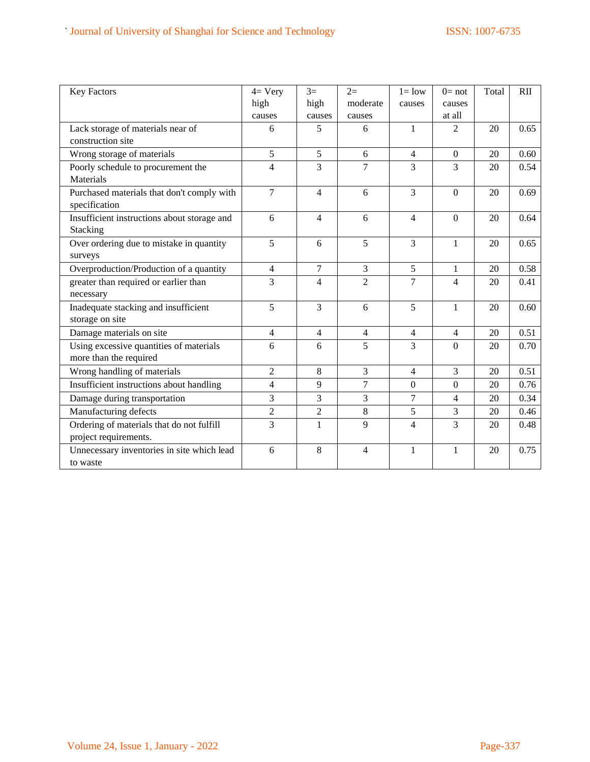| <b>Key Factors</b>                          | $4=$ Very      | $3=$           | $2=$             | $l = low$        | $0=$ not         | Total | <b>RII</b> |
|---------------------------------------------|----------------|----------------|------------------|------------------|------------------|-------|------------|
|                                             | high           | high           | moderate         | causes           | causes           |       |            |
|                                             | causes         | causes         | causes           |                  | at all           |       |            |
| Lack storage of materials near of           | 6              | 5              | 6                | $\mathbf{1}$     | $\overline{2}$   | 20    | 0.65       |
| construction site                           |                |                |                  |                  |                  |       |            |
| Wrong storage of materials                  | 5              | 5              | 6                | 4                | $\boldsymbol{0}$ | 20    | 0.60       |
| Poorly schedule to procurement the          | $\overline{4}$ | 3              | $\overline{7}$   | 3                | 3                | 20    | 0.54       |
| Materials                                   |                |                |                  |                  |                  |       |            |
| Purchased materials that don't comply with  | 7              | $\overline{4}$ | 6                | 3                | $\overline{0}$   | 20    | 0.69       |
| specification                               |                |                |                  |                  |                  |       |            |
| Insufficient instructions about storage and | 6              | 4              | 6                | 4                | $\overline{0}$   | 20    | 0.64       |
| Stacking                                    |                |                |                  |                  |                  |       |            |
| Over ordering due to mistake in quantity    | 5              | 6              | 5                | 3                | $\mathbf{1}$     | 20    | 0.65       |
| surveys                                     |                |                |                  |                  |                  |       |            |
| Overproduction/Production of a quantity     | $\overline{4}$ | 7              | 3                | 5                | 1                | 20    | 0.58       |
| greater than required or earlier than       | $\overline{3}$ | $\overline{4}$ | $\overline{2}$   | $\overline{7}$   | $\overline{4}$   | 20    | 0.41       |
| necessary                                   |                |                |                  |                  |                  |       |            |
| Inadequate stacking and insufficient        | 5              | 3              | 6                | 5                | $\mathbf{1}$     | 20    | 0.60       |
| storage on site                             |                |                |                  |                  |                  |       |            |
| Damage materials on site                    | $\overline{4}$ | $\overline{4}$ | $\overline{4}$   | 4                | $\overline{4}$   | 20    | 0.51       |
| Using excessive quantities of materials     | 6              | 6              | 5                | 3                | $\Omega$         | 20    | 0.70       |
| more than the required                      |                |                |                  |                  |                  |       |            |
| Wrong handling of materials                 | $\overline{2}$ | 8              | 3                | 4                | 3                | 20    | 0.51       |
| Insufficient instructions about handling    | $\overline{4}$ | 9              | $\boldsymbol{7}$ | $\boldsymbol{0}$ | $\mathbf{0}$     | 20    | 0.76       |
| Damage during transportation                | $\overline{3}$ | 3              | $\overline{3}$   | $\overline{7}$   | $\overline{4}$   | 20    | 0.34       |
| Manufacturing defects                       | $\overline{2}$ | $\overline{c}$ | $8\,$            | 5                | 3                | 20    | 0.46       |
| Ordering of materials that do not fulfill   | $\overline{3}$ | $\mathbf{1}$   | 9                | 4                | 3                | 20    | 0.48       |
| project requirements.                       |                |                |                  |                  |                  |       |            |
| Unnecessary inventories in site which lead  | 6              | 8              | $\overline{4}$   | 1                | 1                | 20    | 0.75       |
| to waste                                    |                |                |                  |                  |                  |       |            |